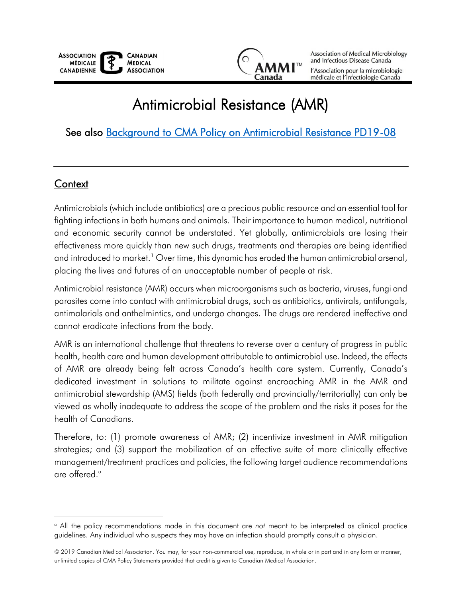

Association of Medical Microbiology and Infectious Disease Canada

l'Association pour la microbiologie médicale et l'infectiologie Canada

# Antimicrobial Resistance (AMR)

## See also [Background to CMA Policy on Antimicrobial Resistance PD19-08](https://toolkit.cma.ca/en/permalink/policy14079)

#### **Context**

 $\overline{a}$ 

Antimicrobials (which include antibiotics) are a precious public resource and an essential tool for fighting infections in both humans and animals. Their importance to human medical, nutritional and economic security cannot be understated. Yet globally, antimicrobials are losing their effectiveness more quickly than new such drugs, treatments and therapies are being identified and introduced to market.<sup>1</sup> Over time, this dynamic has eroded the human antimicrobial arsenal, placing the lives and futures of an unacceptable number of people at risk.

Antimicrobial resistance (AMR) occurs when microorganisms such as bacteria, viruses, fungi and parasites come into contact with antimicrobial drugs, such as antibiotics, antivirals, antifungals, antimalarials and anthelmintics, and undergo changes. The drugs are rendered ineffective and cannot eradicate infections from the body.

AMR is an international challenge that threatens to reverse over a century of progress in public health, health care and human development attributable to antimicrobial use. Indeed, the effects of AMR are already being felt across Canada's health care system. Currently, Canada's dedicated investment in solutions to militate against encroaching AMR in the AMR and antimicrobial stewardship (AMS) fields (both federally and provincially/territorially) can only be viewed as wholly inadequate to address the scope of the problem and the risks it poses for the health of Canadians.

Therefore, to: (1) promote awareness of AMR; (2) incentivize investment in AMR mitigation strategies; and (3) support the mobilization of an effective suite of more clinically effective management/treatment practices and policies, the following target audience recommendations are offered. a

<sup>a</sup> All the policy recommendations made in this document are *not* meant to be interpreted as clinical practice guidelines. Any individual who suspects they may have an infection should promptly consult a physician.

<sup>© 2019</sup> Canadian Medical Association. You may, for your non-commercial use, reproduce, in whole or in part and in any form or manner, unlimited copies of CMA Policy Statements provided that credit is given to Canadian Medical Association.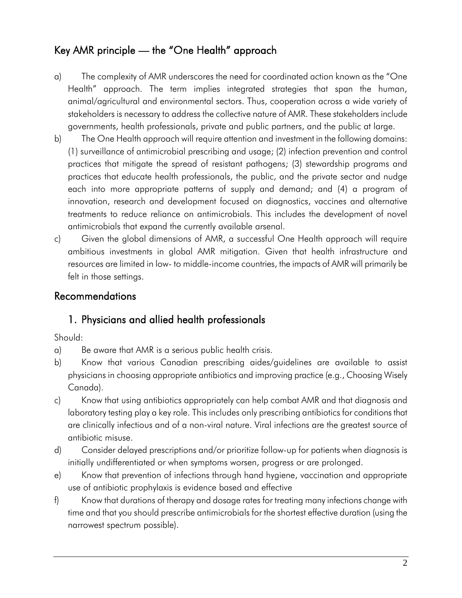## Key AMR principle — the "One Health" approach

- a) The complexity of AMR underscores the need for coordinated action known as the "One Health" approach. The term implies integrated strategies that span the human, animal/agricultural and environmental sectors. Thus, cooperation across a wide variety of stakeholders is necessary to address the collective nature of AMR. These stakeholders include governments, health professionals, private and public partners, and the public at large.
- b) The One Health approach will require attention and investment in the following domains: (1) surveillance of antimicrobial prescribing and usage; (2) infection prevention and control practices that mitigate the spread of resistant pathogens; (3) stewardship programs and practices that educate health professionals, the public, and the private sector and nudge each into more appropriate patterns of supply and demand; and (4) a program of innovation, research and development focused on diagnostics, vaccines and alternative treatments to reduce reliance on antimicrobials. This includes the development of novel antimicrobials that expand the currently available arsenal.
- c) Given the global dimensions of AMR, a successful One Health approach will require ambitious investments in global AMR mitigation. Given that health infrastructure and resources are limited in low- to middle-income countries, the impacts of AMR will primarily be felt in those settings.

#### Recommendations

#### 1. Physicians and allied health professionals

Should:

- a) Be aware that AMR is a serious public health crisis.
- b) Know that various Canadian prescribing aides/guidelines are available to assist physicians in choosing appropriate antibiotics and improving practice (e.g., Choosing Wisely Canada).
- c) Know that using antibiotics appropriately can help combat AMR and that diagnosis and laboratory testing play a key role. This includes only prescribing antibiotics for conditions that are clinically infectious and of a non-viral nature. Viral infections are the greatest source of antibiotic misuse.
- d) Consider delayed prescriptions and/or prioritize follow-up for patients when diagnosis is initially undifferentiated or when symptoms worsen, progress or are prolonged.
- e) Know that prevention of infections through hand hygiene, vaccination and appropriate use of antibiotic prophylaxis is evidence based and effective
- f) Know that durations of therapy and dosage rates for treating many infections change with time and that you should prescribe antimicrobials for the shortest effective duration (using the narrowest spectrum possible).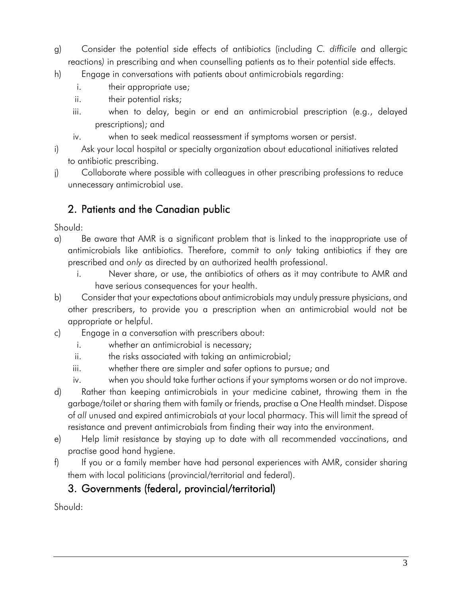- g) Consider the potential side effects of antibiotics (including *C. difficile* and allergic reactions*)* in prescribing and when counselling patients as to their potential side effects.
- h) Engage in conversations with patients about antimicrobials regarding:
	- i. their appropriate use;
	- ii. their potential risks;
	- iii. when to delay, begin or end an antimicrobial prescription (e.g., delayed prescriptions); and
	- iv. when to seek medical reassessment if symptoms worsen or persist.
- i) Ask your local hospital or specialty organization about educational initiatives related to antibiotic prescribing.
- j) Collaborate where possible with colleagues in other prescribing professions to reduce unnecessary antimicrobial use.

## 2. Patients and the Canadian public

Should:

- a) Be aware that AMR is a significant problem that is linked to the inappropriate use of antimicrobials like antibiotics. Therefore, commit to *only* taking antibiotics if they are prescribed and *only* as directed by an authorized health professional.
	- i. Never share, or use, the antibiotics of others as it may contribute to AMR and have serious consequences for your health.
- b) Consider that your expectations about antimicrobials may unduly pressure physicians, and other prescribers, to provide you a prescription when an antimicrobial would not be appropriate or helpful.
- c) Engage in a conversation with prescribers about:
	- i. whether an antimicrobial is necessary;
	- ii. the risks associated with taking an antimicrobial;
	- iii. whether there are simpler and safer options to pursue; and
	- iv. when you should take further actions if your symptoms worsen or do not improve.
- d) Rather than keeping antimicrobials in your medicine cabinet, throwing them in the garbage/toilet or sharing them with family or friends, practise a One Health mindset. Dispose of *all* unused and expired antimicrobials at your local pharmacy. This will limit the spread of resistance and prevent antimicrobials from finding their way into the environment.
- e) Help limit resistance by staying up to date with all recommended vaccinations, and practise good hand hygiene.
- f) If you or a family member have had personal experiences with AMR, consider sharing them with local politicians (provincial/territorial and federal).

## 3. Governments (federal, provincial/territorial)

Should: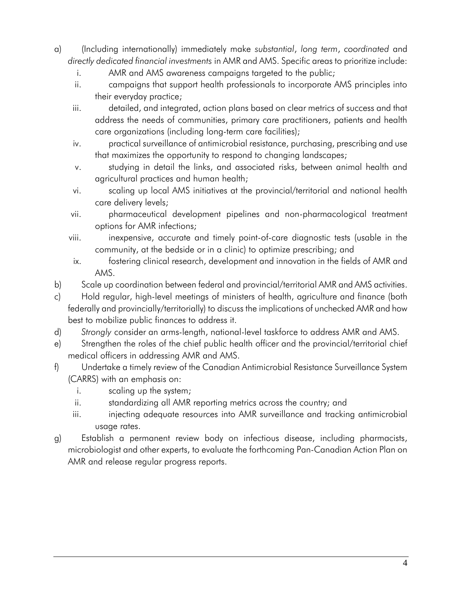- a) (Including internationally) immediately make *substantial*, *long term*, *coordinated* and *directly dedicated financial investments* in AMR and AMS. Specific areas to prioritize include:
	- i. AMR and AMS awareness campaigns targeted to the public;
	- ii. campaigns that support health professionals to incorporate AMS principles into their everyday practice;
	- iii. detailed, and integrated, action plans based on clear metrics of success and that address the needs of communities, primary care practitioners, patients and health care organizations (including long-term care facilities);
	- iv. practical surveillance of antimicrobial resistance, purchasing, prescribing and use that maximizes the opportunity to respond to changing landscapes;
	- v. studying in detail the links, and associated risks, between animal health and agricultural practices and human health;
	- vi. scaling up local AMS initiatives at the provincial/territorial and national health care delivery levels;
	- vii. pharmaceutical development pipelines and non-pharmacological treatment options for AMR infections;
	- viii. in inexpensive, accurate and timely point-of-care diagnostic tests (usable in the community, at the bedside or in a clinic) to optimize prescribing; and
	- ix. fostering clinical research, development and innovation in the fields of AMR and AMS.
- b) Scale up coordination between federal and provincial/territorial AMR and AMS activities.
- c) Hold regular, high-level meetings of ministers of health, agriculture and finance (both federally and provincially/territorially) to discuss the implications of unchecked AMR and how best to mobilize public finances to address it.
- d) *Strongly* consider an arms-length, national-level taskforce to address AMR and AMS.
- e) Strengthen the roles of the chief public health officer and the provincial/territorial chief medical officers in addressing AMR and AMS.
- f) Undertake a timely review of the Canadian Antimicrobial Resistance Surveillance System (CARRS) with an emphasis on:
	- i. scaling up the system;
	- ii. standardizing all AMR reporting metrics across the country; and
	- iii. iii. injecting adequate resources into AMR surveillance and tracking antimicrobial usage rates.
- g) Establish a permanent review body on infectious disease, including pharmacists, microbiologist and other experts, to evaluate the forthcoming Pan-Canadian Action Plan on AMR and release regular progress reports.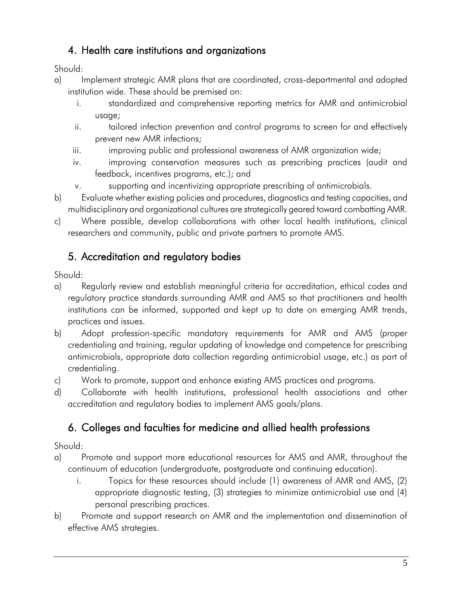## 4. Health care institutions and organizations

Should:

- a) Implement strategic AMR plans that are coordinated, cross-departmental and adopted institution wide. These should be premised on:
	- i. standardized and comprehensive reporting metrics for AMR and antimicrobial usage;
	- ii. tailored infection prevention and control programs to screen for and effectively prevent new AMR infections;
	- iii. improving public and professional awareness of AMR organization wide;
	- iv. improving conservation measures such as prescribing practices (audit and feedback, incentives programs, etc.); and
	- v. supporting and incentivizing appropriate prescribing of antimicrobials.
- b) Evaluate whether existing policies and procedures, diagnostics and testing capacities, and multidisciplinary and organizational cultures are strategically geared toward combatting AMR.
- c) Where possible, develop collaborations with other local health institutions, clinical researchers and community, public and private partners to promote AMS.

## 5. Accreditation and regulatory bodies

Should:

- a) Regularly review and establish meaningful criteria for accreditation, ethical codes and regulatory practice standards surrounding AMR and AMS so that practitioners and health institutions can be informed, supported and kept up to date on emerging AMR trends, practices and issues.
- b) Adopt profession-specific mandatory requirements for AMR and AMS (proper credentialing and training, regular updating of knowledge and competence for prescribing antimicrobials, appropriate data collection regarding antimicrobial usage, etc.) as part of credentialing.
- c) Work to promote, support and enhance existing AMS practices and programs.
- d) Collaborate with health institutions, professional health associations and other accreditation and regulatory bodies to implement AMS goals/plans.

# 6. Colleges and faculties for medicine and allied health professions

Should:

- a) Promote and support more educational resources for AMS and AMR, throughout the continuum of education (undergraduate, postgraduate and continuing education).
	- i. Topics for these resources should include (1) awareness of AMR and AMS, (2) appropriate diagnostic testing, (3) strategies to minimize antimicrobial use and (4) personal prescribing practices.
- b) Promote and support research on AMR and the implementation and dissemination of effective AMS strategies.